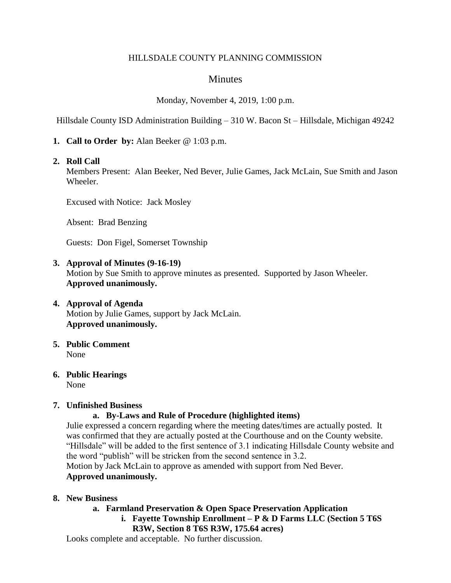### HILLSDALE COUNTY PLANNING COMMISSION

## **Minutes**

Monday, November 4, 2019, 1:00 p.m.

Hillsdale County ISD Administration Building – 310 W. Bacon St – Hillsdale, Michigan 49242

**1. Call to Order by:** Alan Beeker @ 1:03 p.m.

### **2. Roll Call**

Members Present: Alan Beeker, Ned Bever, Julie Games, Jack McLain, Sue Smith and Jason Wheeler.

Excused with Notice: Jack Mosley

Absent: Brad Benzing

Guests: Don Figel, Somerset Township

### **3. Approval of Minutes (9-16-19)**

Motion by Sue Smith to approve minutes as presented. Supported by Jason Wheeler. **Approved unanimously.**

### **4. Approval of Agenda** Motion by Julie Games, support by Jack McLain. **Approved unanimously.**

**5. Public Comment** None

#### **6. Public Hearings** None

### **7. Unfinished Business**

## **a. By-Laws and Rule of Procedure (highlighted items)**

Julie expressed a concern regarding where the meeting dates/times are actually posted. It was confirmed that they are actually posted at the Courthouse and on the County website. "Hillsdale" will be added to the first sentence of 3.1 indicating Hillsdale County website and the word "publish" will be stricken from the second sentence in 3.2. Motion by Jack McLain to approve as amended with support from Ned Bever.

## **Approved unanimously.**

### **8. New Business**

### **a. Farmland Preservation & Open Space Preservation Application**

**i. Fayette Township Enrollment – P & D Farms LLC (Section 5 T6S** 

### **R3W, Section 8 T6S R3W, 175.64 acres)**

Looks complete and acceptable. No further discussion.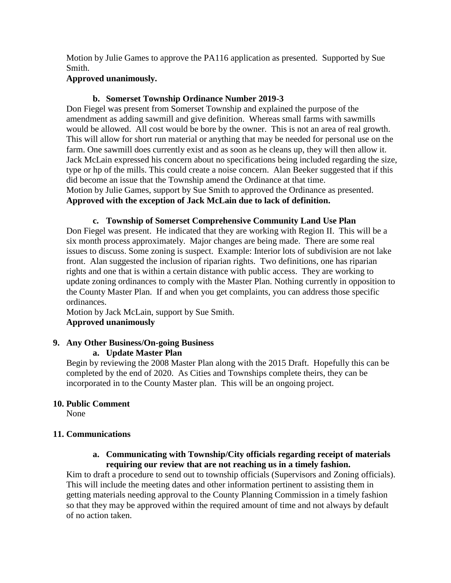Motion by Julie Games to approve the PA116 application as presented. Supported by Sue Smith.

## **Approved unanimously.**

# **b. Somerset Township Ordinance Number 2019-3**

Don Fiegel was present from Somerset Township and explained the purpose of the amendment as adding sawmill and give definition. Whereas small farms with sawmills would be allowed. All cost would be bore by the owner. This is not an area of real growth. This will allow for short run material or anything that may be needed for personal use on the farm. One sawmill does currently exist and as soon as he cleans up, they will then allow it. Jack McLain expressed his concern about no specifications being included regarding the size, type or hp of the mills. This could create a noise concern. Alan Beeker suggested that if this did become an issue that the Township amend the Ordinance at that time. Motion by Julie Games, support by Sue Smith to approved the Ordinance as presented. **Approved with the exception of Jack McLain due to lack of definition.**

### **c. Township of Somerset Comprehensive Community Land Use Plan**

Don Fiegel was present. He indicated that they are working with Region II. This will be a six month process approximately. Major changes are being made. There are some real issues to discuss. Some zoning is suspect. Example: Interior lots of subdivision are not lake front. Alan suggested the inclusion of riparian rights. Two definitions, one has riparian rights and one that is within a certain distance with public access. They are working to update zoning ordinances to comply with the Master Plan. Nothing currently in opposition to the County Master Plan. If and when you get complaints, you can address those specific ordinances.

Motion by Jack McLain, support by Sue Smith. **Approved unanimously**

## **9. Any Other Business/On-going Business**

## **a. Update Master Plan**

Begin by reviewing the 2008 Master Plan along with the 2015 Draft. Hopefully this can be completed by the end of 2020. As Cities and Townships complete theirs, they can be incorporated in to the County Master plan. This will be an ongoing project.

## **10. Public Comment**

None

## **11. Communications**

## **a. Communicating with Township/City officials regarding receipt of materials requiring our review that are not reaching us in a timely fashion.**

Kim to draft a procedure to send out to township officials (Supervisors and Zoning officials). This will include the meeting dates and other information pertinent to assisting them in getting materials needing approval to the County Planning Commission in a timely fashion so that they may be approved within the required amount of time and not always by default of no action taken.